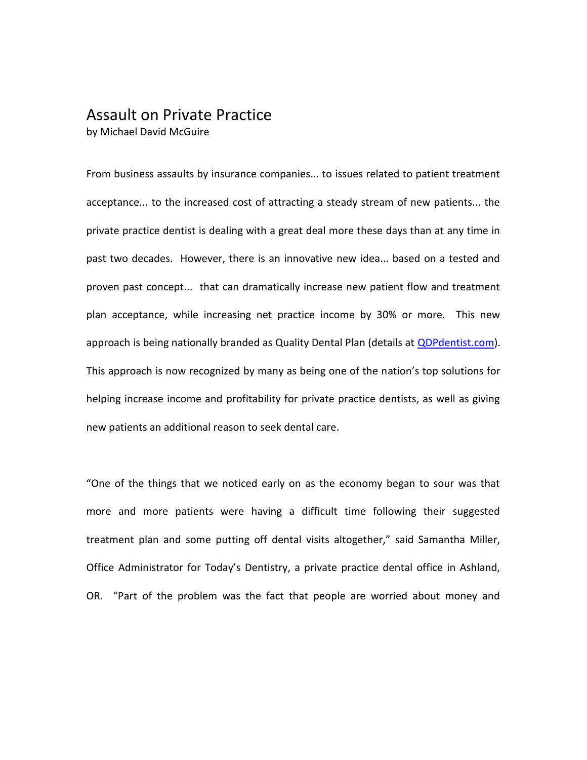## Assault on Private Practice

by Michael David McGuire

From business assaults by insurance companies... to issues related to patient treatment acceptance... to the increased cost of attracting a steady stream of new patients... the private practice dentist is dealing with a great deal more these days than at any time in past two decades. However, there is an innovative new idea... based on a tested and proven past concept... that can dramatically increase new patient flow and treatment plan acceptance, while increasing net practice income by 30% or more. This new approach is being nationally branded as Quality Dental Plan (details at **QDPdentist.com**). This approach is now recognized by many as being one of the nation's top solutions for helping increase income and profitability for private practice dentists, as well as giving new patients an additional reason to seek dental care.

"One of the things that we noticed early on as the economy began to sour was that more and more patients were having a difficult time following their suggested treatment plan and some putting off dental visits altogether," said Samantha Miller, Office Administrator for Today's Dentistry, a private practice dental office in Ashland, OR. "Part of the problem was the fact that people are worried about money and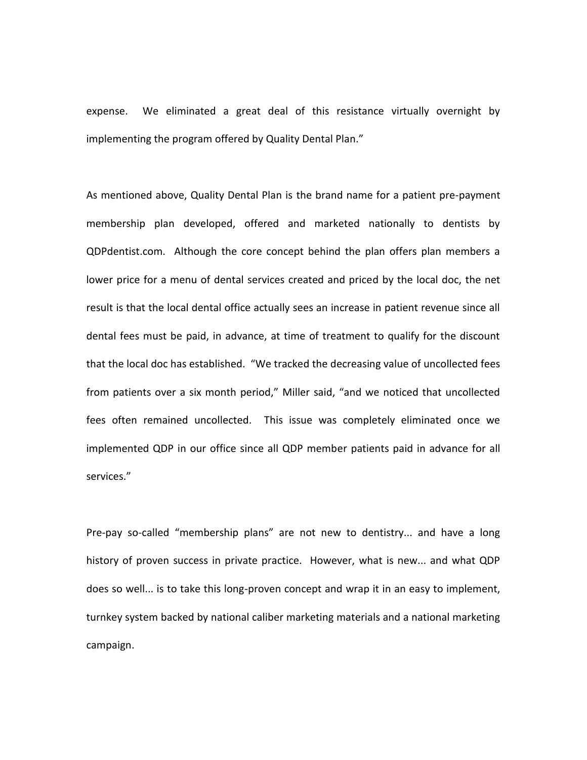expense. We eliminated a great deal of this resistance virtually overnight by implementing the program offered by Quality Dental Plan."

As mentioned above, Quality Dental Plan is the brand name for a patient pre-payment membership plan developed, offered and marketed nationally to dentists by QDPdentist.com. Although the core concept behind the plan offers plan members a lower price for a menu of dental services created and priced by the local doc, the net result is that the local dental office actually sees an increase in patient revenue since all dental fees must be paid, in advance, at time of treatment to qualify for the discount that the local doc has established. "We tracked the decreasing value of uncollected fees from patients over a six month period," Miller said, "and we noticed that uncollected fees often remained uncollected. This issue was completely eliminated once we implemented QDP in our office since all QDP member patients paid in advance for all services."

Pre-pay so-called "membership plans" are not new to dentistry... and have a long history of proven success in private practice. However, what is new... and what QDP does so well... is to take this long-proven concept and wrap it in an easy to implement, turnkey system backed by national caliber marketing materials and a national marketing campaign.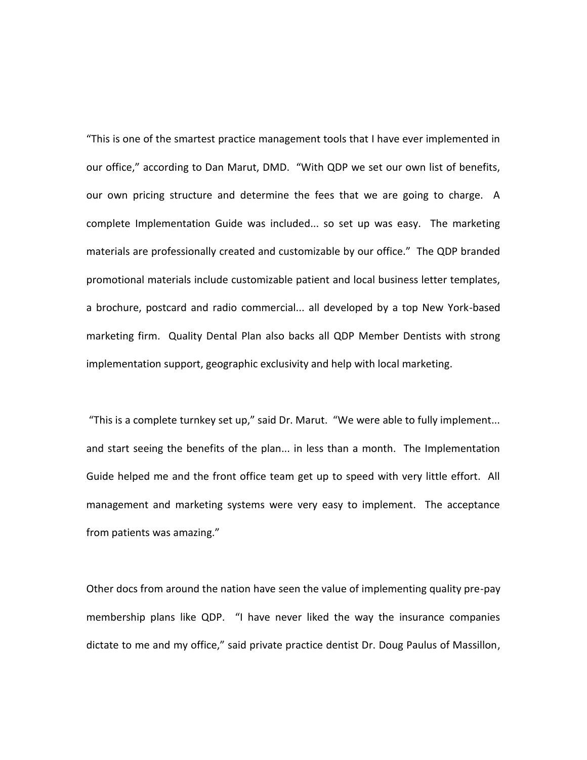"This is one of the smartest practice management tools that I have ever implemented in our office," according to Dan Marut, DMD. "With QDP we set our own list of benefits, our own pricing structure and determine the fees that we are going to charge. A complete Implementation Guide was included... so set up was easy. The marketing materials are professionally created and customizable by our office." The QDP branded promotional materials include customizable patient and local business letter templates, a brochure, postcard and radio commercial... all developed by a top New York-based marketing firm. Quality Dental Plan also backs all QDP Member Dentists with strong implementation support, geographic exclusivity and help with local marketing.

"This is a complete turnkey set up," said Dr. Marut. "We were able to fully implement... and start seeing the benefits of the plan... in less than a month. The Implementation Guide helped me and the front office team get up to speed with very little effort. All management and marketing systems were very easy to implement. The acceptance from patients was amazing."

Other docs from around the nation have seen the value of implementing quality pre-pay membership plans like QDP. "I have never liked the way the insurance companies dictate to me and my office," said private practice dentist Dr. Doug Paulus of Massillon,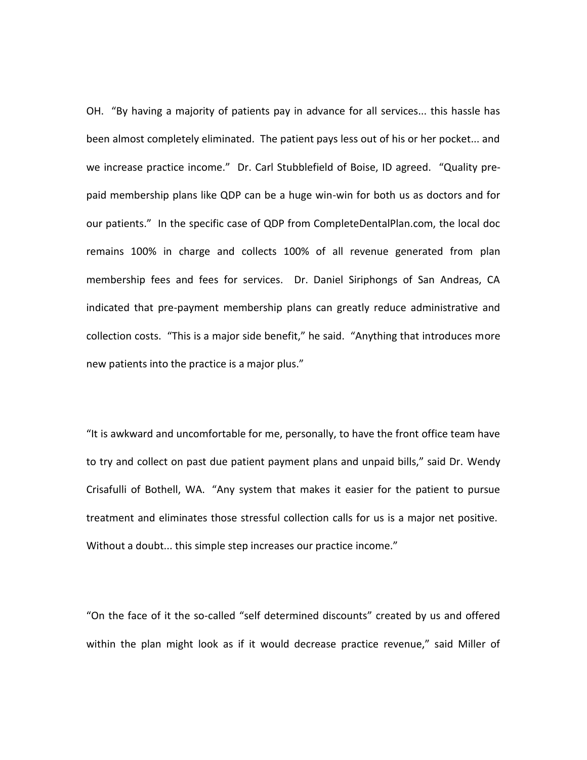OH. "By having a majority of patients pay in advance for all services... this hassle has been almost completely eliminated. The patient pays less out of his or her pocket... and we increase practice income." Dr. Carl Stubblefield of Boise, ID agreed. "Quality prepaid membership plans like QDP can be a huge win-win for both us as doctors and for our patients." In the specific case of QDP from CompleteDentalPlan.com, the local doc remains 100% in charge and collects 100% of all revenue generated from plan membership fees and fees for services. Dr. Daniel Siriphongs of San Andreas, CA indicated that pre-payment membership plans can greatly reduce administrative and collection costs. "This is a major side benefit," he said. "Anything that introduces more new patients into the practice is a major plus."

"It is awkward and uncomfortable for me, personally, to have the front office team have to try and collect on past due patient payment plans and unpaid bills," said Dr. Wendy Crisafulli of Bothell, WA. "Any system that makes it easier for the patient to pursue treatment and eliminates those stressful collection calls for us is a major net positive. Without a doubt... this simple step increases our practice income."

"On the face of it the so-called "self determined discounts" created by us and offered within the plan might look as if it would decrease practice revenue," said Miller of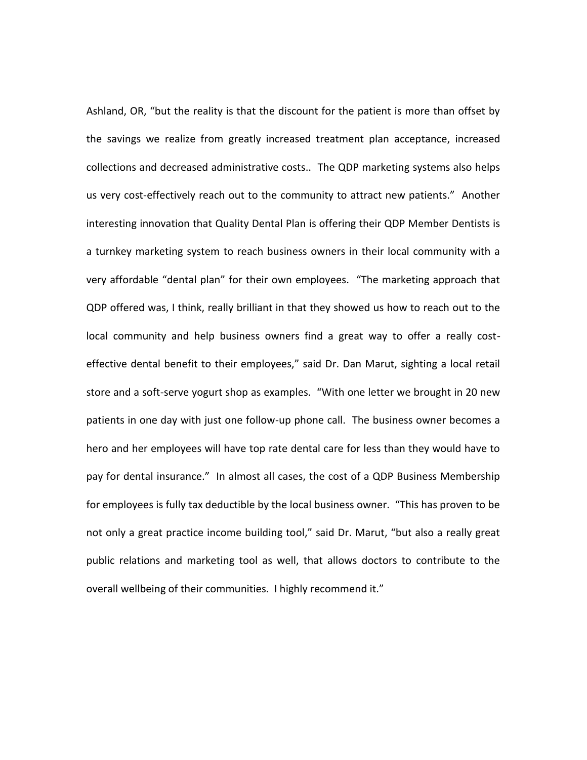Ashland, OR, "but the reality is that the discount for the patient is more than offset by the savings we realize from greatly increased treatment plan acceptance, increased collections and decreased administrative costs.. The QDP marketing systems also helps us very cost-effectively reach out to the community to attract new patients." Another interesting innovation that Quality Dental Plan is offering their QDP Member Dentists is a turnkey marketing system to reach business owners in their local community with a very affordable "dental plan" for their own employees. "The marketing approach that QDP offered was, I think, really brilliant in that they showed us how to reach out to the local community and help business owners find a great way to offer a really costeffective dental benefit to their employees," said Dr. Dan Marut, sighting a local retail store and a soft-serve yogurt shop as examples. "With one letter we brought in 20 new patients in one day with just one follow-up phone call. The business owner becomes a hero and her employees will have top rate dental care for less than they would have to pay for dental insurance." In almost all cases, the cost of a QDP Business Membership for employees is fully tax deductible by the local business owner. "This has proven to be not only a great practice income building tool," said Dr. Marut, "but also a really great public relations and marketing tool as well, that allows doctors to contribute to the overall wellbeing of their communities. I highly recommend it."